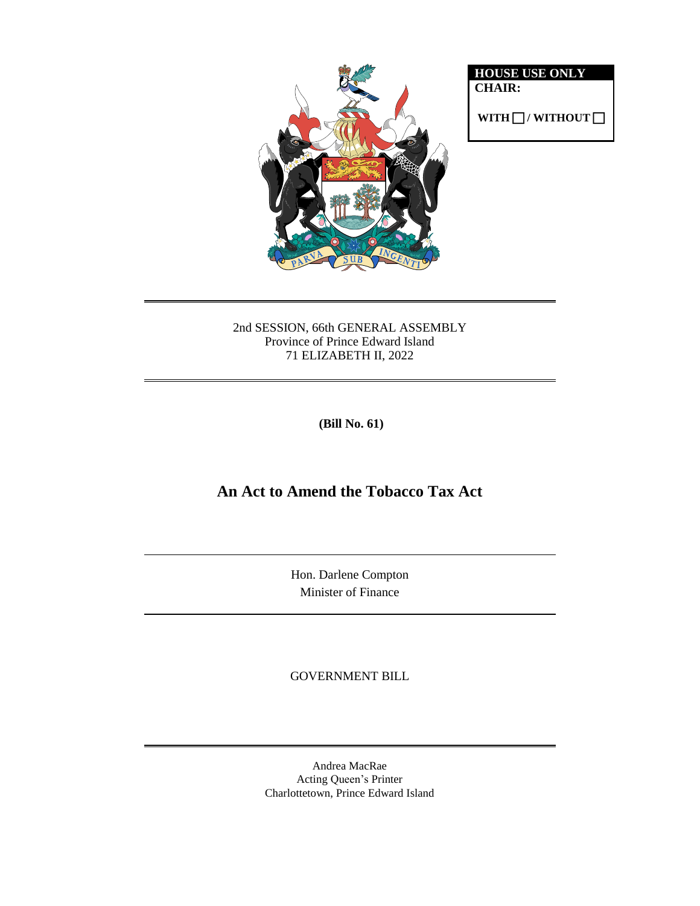

**HOUSE USE ONLY CHAIR:**

 $WITH \Box / WITHOUT \Box$ 

2nd SESSION, 66th GENERAL ASSEMBLY Province of Prince Edward Island 71 ELIZABETH II, 2022

**(Bill No. 61)**

# **An Act to Amend the Tobacco Tax Act**

Hon. Darlene Compton Minister of Finance

GOVERNMENT BILL

Andrea MacRae Acting Queen's Printer Charlottetown, Prince Edward Island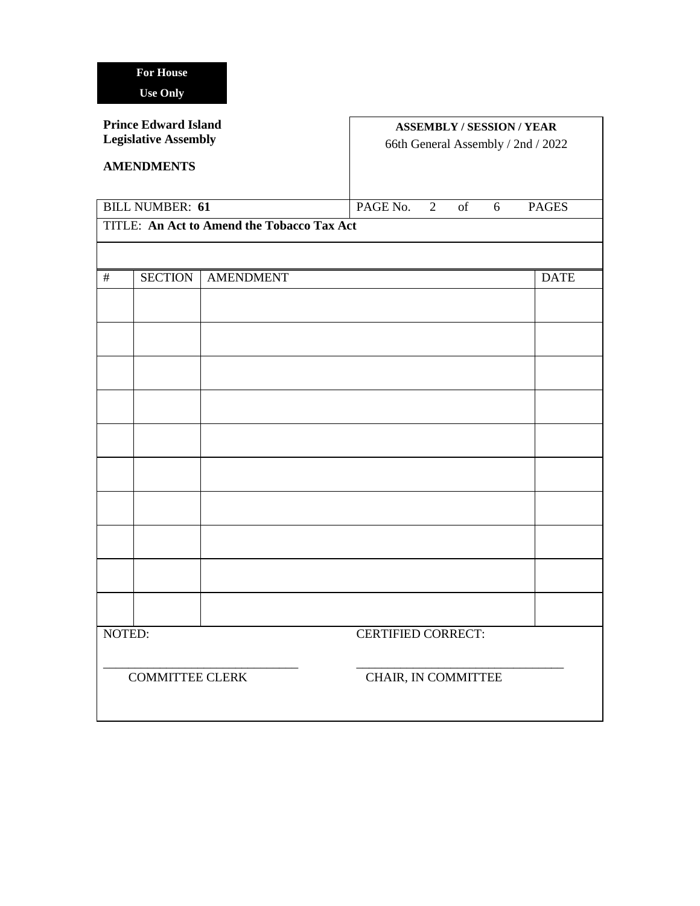### **Prince Edward Island Legislative Assembly**

## **AMENDMENTS**

## **ASSEMBLY / SESSION / YEAR** 66th General Assembly / 2nd / 2022

| <b>BILL NUMBER: 61</b>                     |                |                  | PAGE No. 2                |                     | of | 6 | <b>PAGES</b> |             |
|--------------------------------------------|----------------|------------------|---------------------------|---------------------|----|---|--------------|-------------|
| TITLE: An Act to Amend the Tobacco Tax Act |                |                  |                           |                     |    |   |              |             |
|                                            |                |                  |                           |                     |    |   |              |             |
| $\#$                                       | <b>SECTION</b> | <b>AMENDMENT</b> |                           |                     |    |   |              | <b>DATE</b> |
|                                            |                |                  |                           |                     |    |   |              |             |
|                                            |                |                  |                           |                     |    |   |              |             |
|                                            |                |                  |                           |                     |    |   |              |             |
|                                            |                |                  |                           |                     |    |   |              |             |
|                                            |                |                  |                           |                     |    |   |              |             |
|                                            |                |                  |                           |                     |    |   |              |             |
|                                            |                |                  |                           |                     |    |   |              |             |
|                                            |                |                  |                           |                     |    |   |              |             |
|                                            |                |                  |                           |                     |    |   |              |             |
|                                            |                |                  |                           |                     |    |   |              |             |
| NOTED:                                     |                |                  | <b>CERTIFIED CORRECT:</b> |                     |    |   |              |             |
| <b>COMMITTEE CLERK</b>                     |                |                  |                           | CHAIR, IN COMMITTEE |    |   |              |             |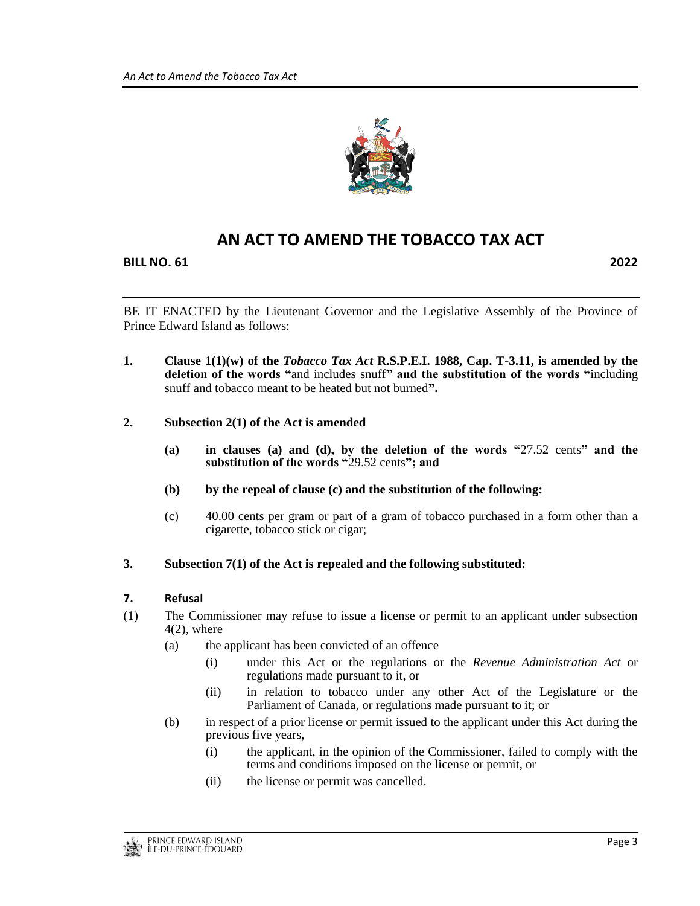

# **AN ACT TO AMEND THE TOBACCO TAX ACT**

**BILL NO. 61 2022**

BE IT ENACTED by the Lieutenant Governor and the Legislative Assembly of the Province of Prince Edward Island as follows:

- **1. Clause 1(1)(w) of the** *Tobacco Tax Act* **R.S.P.E.I. 1988, Cap. T-3.11, is amended by the deletion of the words "**and includes snuff**" and the substitution of the words "**including snuff and tobacco meant to be heated but not burned**".**
- **2. Subsection 2(1) of the Act is amended**
	- **(a) in clauses (a) and (d), by the deletion of the words "**27.52 cents**" and the substitution of the words "**29.52 cents**"; and**
	- **(b) by the repeal of clause (c) and the substitution of the following:**
	- (c) 40.00 cents per gram or part of a gram of tobacco purchased in a form other than a cigarette, tobacco stick or cigar;
- **3. Subsection 7(1) of the Act is repealed and the following substituted:**

#### **7. Refusal**

- (1) The Commissioner may refuse to issue a license or permit to an applicant under subsection  $4(2)$ , where
	- (a) the applicant has been convicted of an offence
		- (i) under this Act or the regulations or the *Revenue Administration Act* or regulations made pursuant to it, or
		- (ii) in relation to tobacco under any other Act of the Legislature or the Parliament of Canada, or regulations made pursuant to it; or
	- (b) in respect of a prior license or permit issued to the applicant under this Act during the previous five years,
		- (i) the applicant, in the opinion of the Commissioner, failed to comply with the terms and conditions imposed on the license or permit, or
		- (ii) the license or permit was cancelled.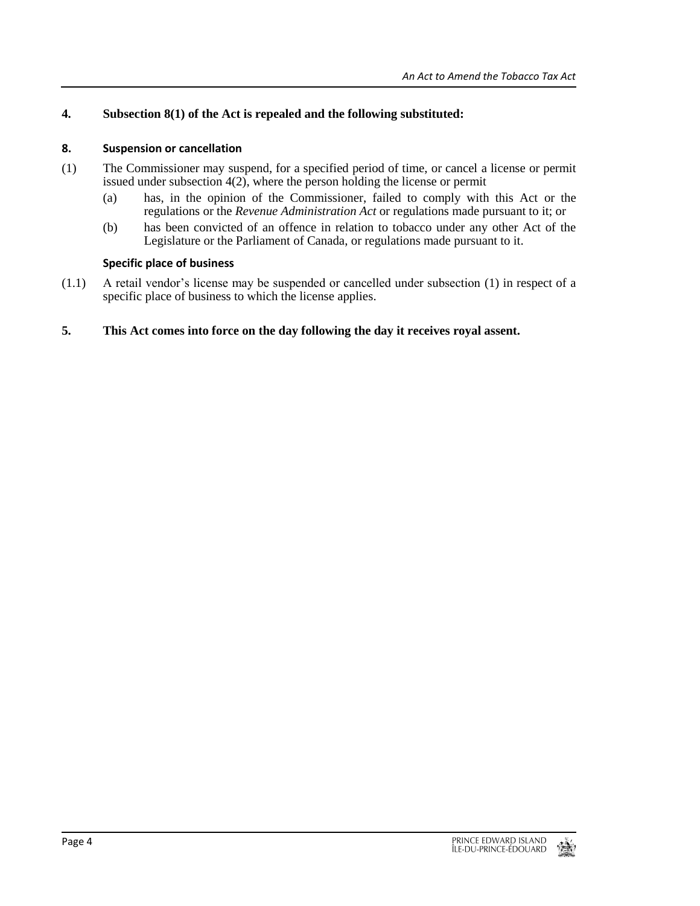### **4. Subsection 8(1) of the Act is repealed and the following substituted:**

#### **8. Suspension or cancellation**

- (1) The Commissioner may suspend, for a specified period of time, or cancel a license or permit issued under subsection 4(2), where the person holding the license or permit
	- (a) has, in the opinion of the Commissioner, failed to comply with this Act or the regulations or the *Revenue Administration Act* or regulations made pursuant to it; or
	- (b) has been convicted of an offence in relation to tobacco under any other Act of the Legislature or the Parliament of Canada, or regulations made pursuant to it.

#### **Specific place of business**

(1.1) A retail vendor's license may be suspended or cancelled under subsection (1) in respect of a specific place of business to which the license applies.

#### **5. This Act comes into force on the day following the day it receives royal assent.**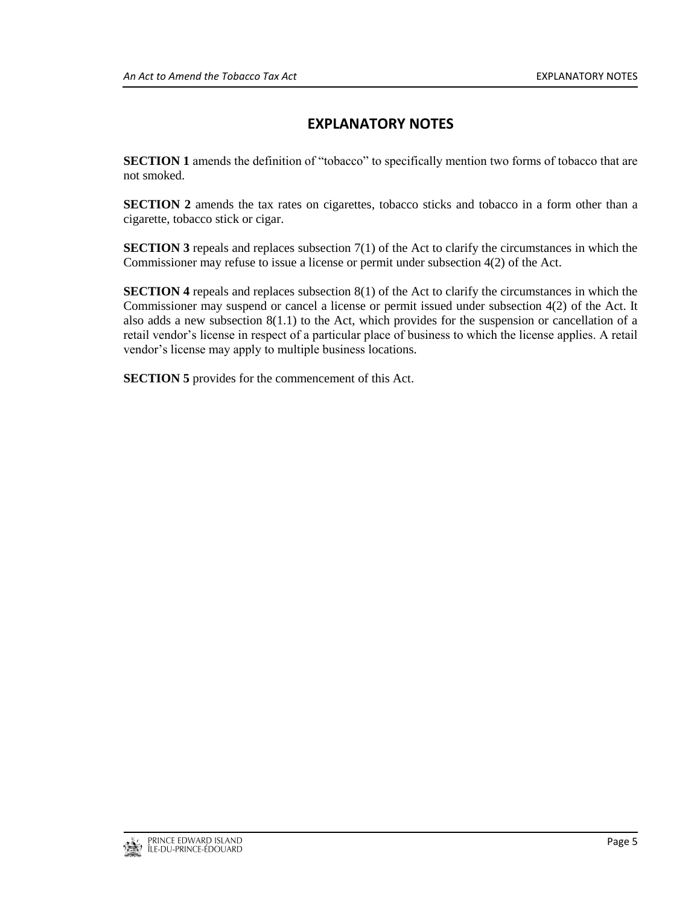# **EXPLANATORY NOTES**

**SECTION 1** amends the definition of "tobacco" to specifically mention two forms of tobacco that are not smoked.

**SECTION 2** amends the tax rates on cigarettes, tobacco sticks and tobacco in a form other than a cigarette, tobacco stick or cigar.

**SECTION 3** repeals and replaces subsection  $7(1)$  of the Act to clarify the circumstances in which the Commissioner may refuse to issue a license or permit under subsection 4(2) of the Act.

**SECTION 4** repeals and replaces subsection 8(1) of the Act to clarify the circumstances in which the Commissioner may suspend or cancel a license or permit issued under subsection 4(2) of the Act. It also adds a new subsection 8(1.1) to the Act, which provides for the suspension or cancellation of a retail vendor's license in respect of a particular place of business to which the license applies. A retail vendor's license may apply to multiple business locations.

**SECTION 5** provides for the commencement of this Act.